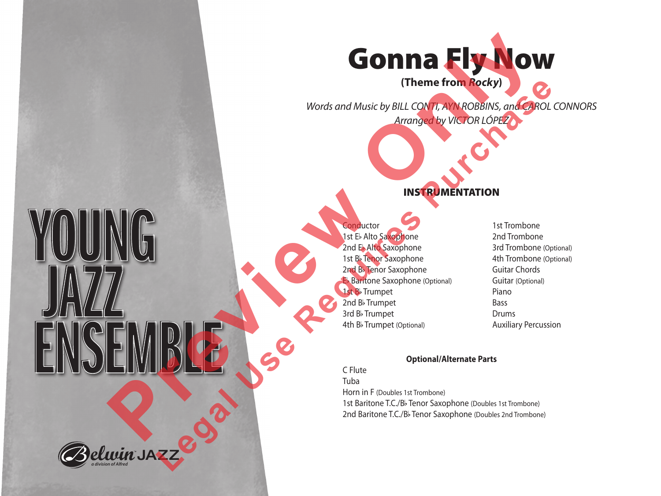# Gonna Fly Now

**(Theme from** *Rocky***)**

*Words and Music by BILL CONTI, AYN ROBBINS, and CAROL CONNORS Arranged by VICTOR LÓPEZ*

## **INSTRUMENTATION**

Conductor 1st El Alto Saxophone 2nd Eb Alto Saxophone 1st B<sub>b</sub> Tenor Saxophone 2nd B<sub>b</sub> Tenor Saxophone El Baritone Saxophone (Optional) 1st B. Trumpet 2nd Bb Trumpet 3rd Bb Trumpet 4th Bb Trumpet (Optional) **Preview School of Contract Contract Contract Contract Contract Contract Contract Contract Contract Contract Contract Contract Contract Contract Contract Contract Contract Contract Contract Contract Contract Contract Contr** Words and Music by BiLL COVID AVAN ROBBINS, and GROUP<br>
Arranged by VICTOR LOPED<br>
Arranged by VICTOR LOPED<br>
INS **RUMENTATION**<br>
INS **RUMENTATION**<br>
LEGAL COVID AND SURFACE COVIDED FOR THE CORRECT COVIDENCE CONDITION IS TURNED

*a division of Alfred*

elwin JAZZ

1st Trombone 2nd Trombone 3rd Trombone (Optional) 4th Trombone (Optional) Guitar Chords Guitar (Optional) Piano Bass Drums Auxiliary Percussion

#### **Optional/Alternate Parts**

C Flute Tuba Horn in F (Doubles 1st Trombone) 1st Baritone T.C./Bb Tenor Saxophone (Doubles 1st Trombone) 2nd Baritone T.C./Bb Tenor Saxophone (Doubles 2nd Trombone)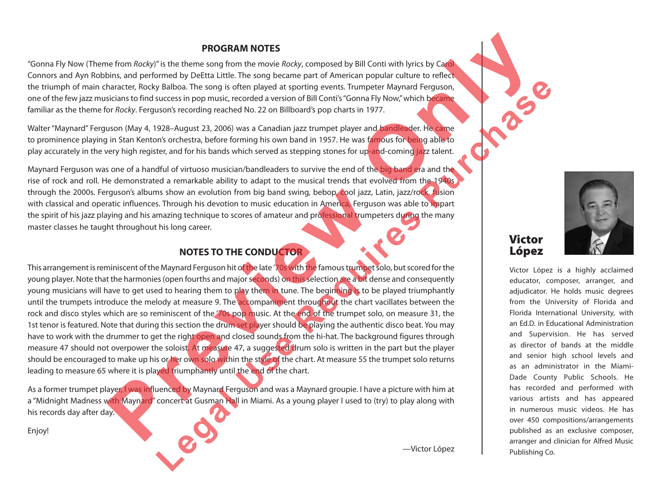#### **PROGRAM NOTES**

"Gonna Fly Now (Theme from *Rocky*)" is the theme song from the movie *Rocky*, composed by Bill Conti with lyrics by Carol Connors and Ayn Robbins, and performed by DeEtta Little. The song became part of American popular culture to reflect the triumph of main character, Rocky Balboa. The song is often played at sporting events. Trumpeter Maynard Ferguson, one of the few jazz musicians to find success in pop music, recorded a version of Bill Conti's "Gonna Fly Now," which became familiar as the theme for *Rocky*. Ferguson's recording reached No. 22 on Billboard's pop charts in 1977.

Walter "Maynard" Ferguson (May 4, 1928–August 23, 2006) was a Canadian jazz trumpet player and bandleader. He came to prominence playing in Stan Kenton's orchestra, before forming his own band in 1957. He was famous for being able to play accurately in the very high register, and for his bands which served as stepping stones for up-and-coming jazz talent.

Maynard Ferguson was one of a handful of virtuoso musician/bandleaders to survive the end of the big band era and the rise of rock and roll. He demonstrated a remarkable ability to adapt to the musical trends that evolved from the 1940s through the 2000s. Ferguson's albums show an evolution from big band swing, bebop, cool jazz, Latin, jazz/rock, fusion with classical and operatic influences. Through his devotion to music education in America, Ferguson was able to impart the spirit of his jazz playing and his amazing technique to scores of amateur and professional trumpeters during the many master classes he taught throughout his long career.

### **NOTES TO THE CONDUCTOR**

This arrangement is reminiscent of the Maynard Ferguson hit of the late '70s with the famous trumpet solo, but scored for the young player. Note that the harmonies (open fourths and major seconds) on this selection are a bit dense and consequently young musicians will have to get used to hearing them to play them in tune. The beginning is to be played triumphantly until the trumpets introduce the melody at measure 9. The accompaniment throughout the chart vacillates between the rock and disco styles which are so reminiscent of the '70s pop music. At the end of the trumpet solo, on measure 31, the 1st tenor is featured. Note that during this section the drum set player should be playing the authentic disco beat. You may have to work with the drummer to get the right open and closed sounds from the hi-hat. The background figures through measure 47 should not overpower the soloist. At measure 47, a suggested drum solo is written in the part but the player should be encouraged to make up his or her own solo within the style of the chart. At measure 55 the trumpet solo returns leading to measure 65 where it is played triumphantly until the end of the chart. **PROGRAM NOTES**<br>
arrange them considers, composed by Bill Continue in priori considers, and performance and considers, and performance and considers the sign is of the sign is determined to consider a considered Music and y alalos. The song is often played at sporting wents. Trumpeter Maynard Ferguscon,<br>
such is economics recording rescaled a vesion of BillDoom's Gomes Hamiltone (Exception 1977).<br>
2018-August 23, 2006) was a Canadian jazz t

As a former trumpet player, I was influenced by Maynard Ferguson and was a Maynard groupie. I have a picture with him at a "Midnight Madness with Maynard" concert at Gusman Hall in Miami. As a young player I used to (try) to play along with his records day after day.

Enjoy!

—Victor López



Victor López is a highly acclaimed educator, composer, arranger, and adjudicator. He holds music degrees from the University of Florida and Florida International University, with an Ed.D. in Educational Administration and Supervision. He has served as director of bands at the middle and senior high school levels and as an administrator in the Miami-Dade County Public Schools. He has recorded and performed with various artists and has appeared in numerous music videos. He has over 450 compositions/arrangements published as an exclusive composer, Publishing Co.

**Victor** López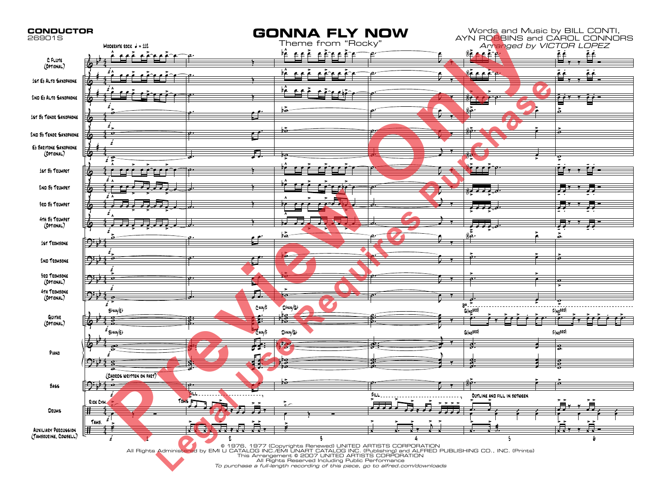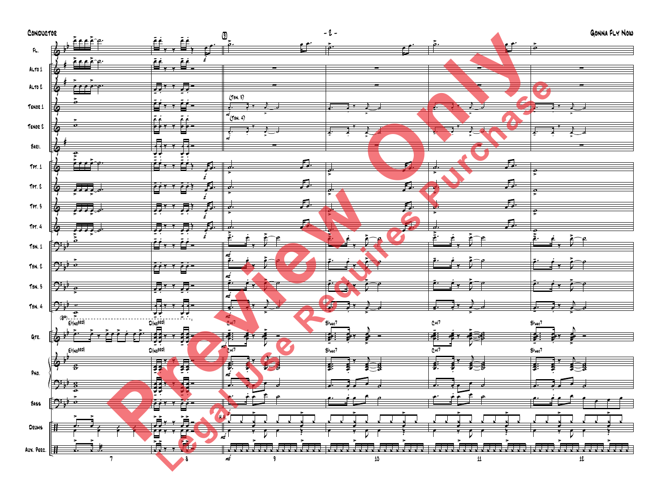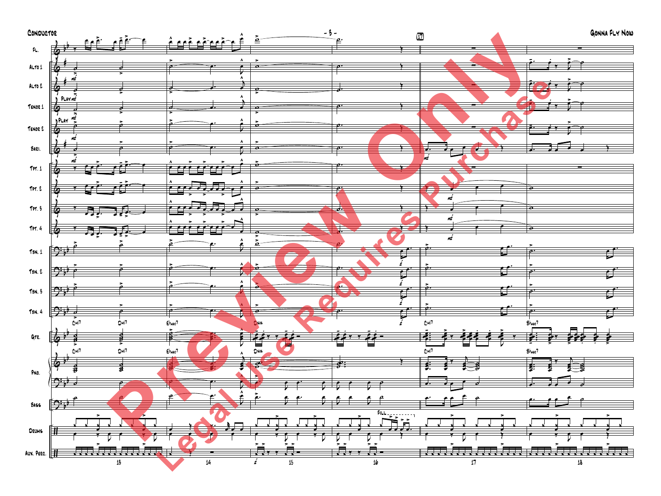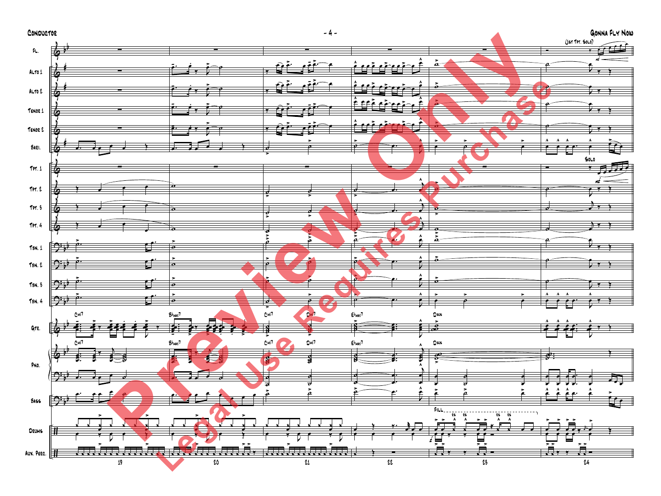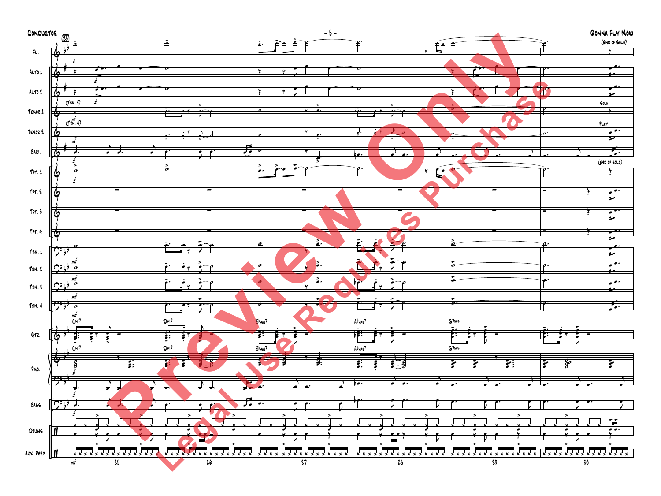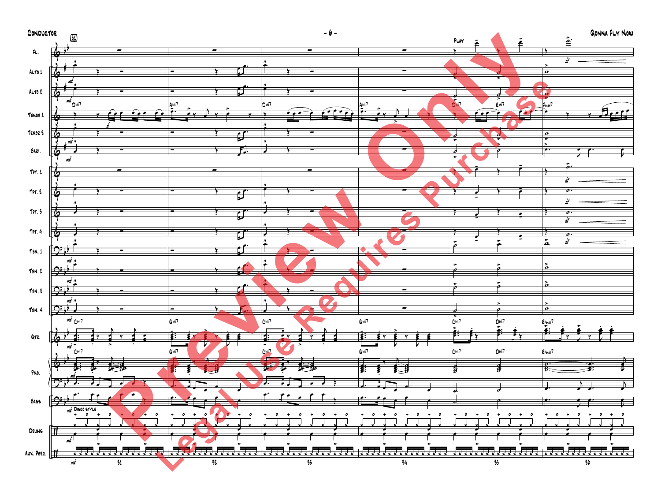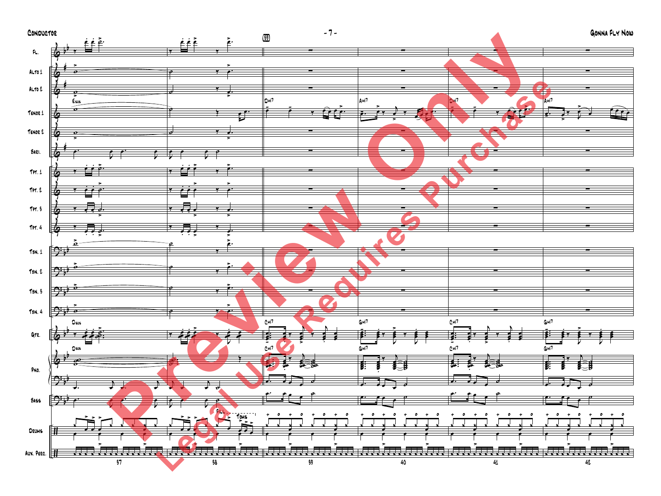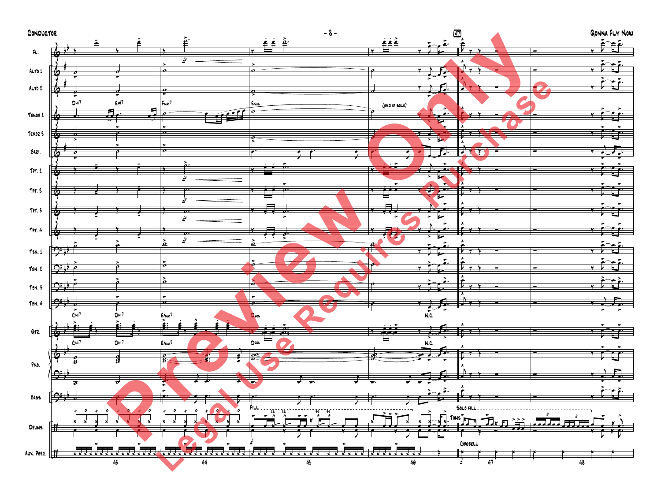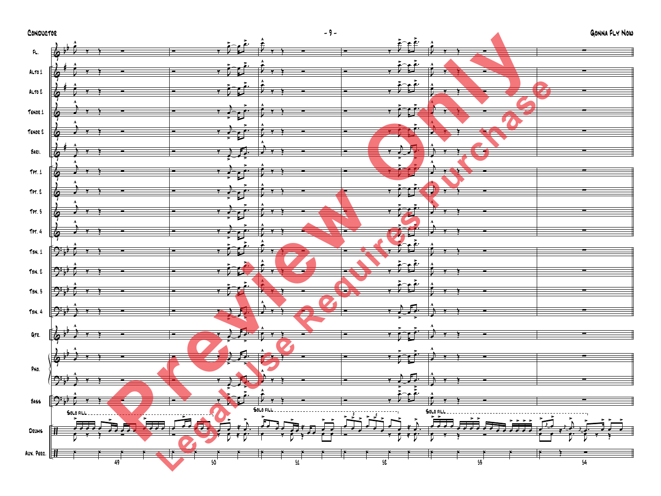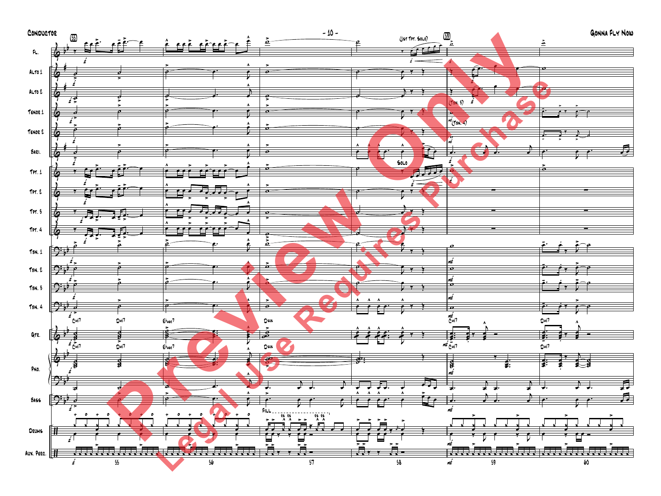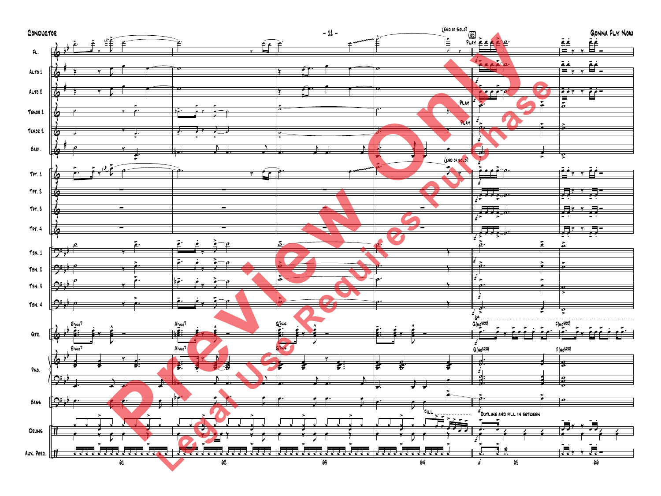